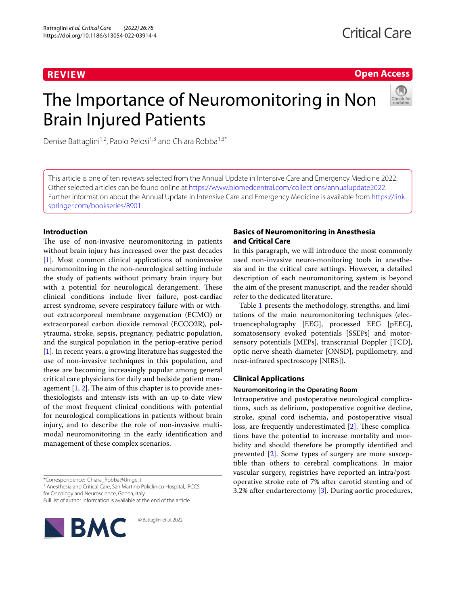# **REVIEW**

**Open Access**

# The Importance of Neuromonitoring in Non Brain Injured Patients



Denise Battaglini<sup>1,2</sup>, Paolo Pelosi<sup>1,3</sup> and Chiara Robba<sup>1,3\*</sup>

This article is one of ten reviews selected from the Annual Update in Intensive Care and Emergency Medicine 2022. Other selected articles can be found online at <https://www.biomedcentral.com/collections/annualupdate2022>. Further information about the Annual Update in Intensive Care and Emergency Medicine is available from [https://link.](https://link.springer.com/bookseries/8901) [springer.com/bookseries/8901.](https://link.springer.com/bookseries/8901)

## **Introduction**

The use of non-invasive neuromonitoring in patients without brain injury has increased over the past decades [[1\]](#page-10-0). Most common clinical applications of noninvasive neuromonitoring in the non-neurological setting include the study of patients without primary brain injury but with a potential for neurological derangement. These clinical conditions include liver failure, post-cardiac arrest syndrome, severe respiratory failure with or without extracorporeal membrane oxygenation (ECMO) or extracorporeal carbon dioxide removal (ECCO2R), polytrauma, stroke, sepsis, pregnancy, pediatric population, and the surgical population in the periop-erative period [[1\]](#page-10-0). In recent years, a growing literature has suggested the use of non-invasive techniques in this population, and these are becoming increasingly popular among general critical care physicians for daily and bedside patient management  $[1, 2]$  $[1, 2]$  $[1, 2]$  $[1, 2]$ . The aim of this chapter is to provide anesthesiologists and intensiv-ists with an up-to-date view of the most frequent clinical conditions with potential for neurological complications in patients without brain injury, and to describe the role of non-invasive multimodal neuromonitoring in the early identification and management of these complex scenarios.

<sup>1</sup> Anesthesia and Critical Care, San Martino Policlinico Hospital, IRCCS for Oncology and Neuroscience, Genoa, Italy

© Battaglini et al. 2022.

Full list of author information is available at the end of the article



## **Basics of Neuromonitoring in Anesthesia and Critical Care**

In this paragraph, we will introduce the most commonly used non-invasive neuro-monitoring tools in anesthesia and in the critical care settings. However, a detailed description of each neuromonitoring system is beyond the aim of the present manuscript, and the reader should refer to the dedicated literature.

Table [1](#page-1-0) presents the methodology, strengths, and limitations of the main neuromonitoring techniques (electroencephalography [EEG], processed EEG [pEEG], somatosensory evoked potentials [SSEPs] and motorsensory potentials [MEPs], transcranial Doppler [TCD], optic nerve sheath diameter [ONSD], pupillometry, and near-infrared spectroscopy [NIRS]).

## **Clinical Applications**

## **Neuromonitoring in the Operating Room**

Intraoperative and postoperative neurological complications, such as delirium, postoperative cognitive decline, stroke, spinal cord ischemia, and postoperative visual loss, are frequently underestimated [\[2](#page-10-1)]. These complications have the potential to increase mortality and morbidity and should therefore be promptly identified and prevented [[2\]](#page-10-1). Some types of surgery are more susceptible than others to cerebral complications. In major vascular surgery, registries have reported an intra/postoperative stroke rate of 7% after carotid stenting and of 3.2% after endarterectomy [[3\]](#page-10-2). During aortic procedures,

<sup>\*</sup>Correspondence: Chiara\_Robba@Unige.It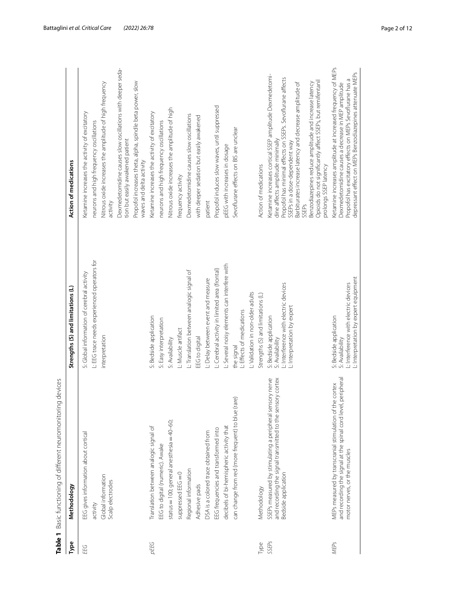|      | Table 1 Basic functioning of different neuromonitoring devices |                                                |                                                                         |
|------|----------------------------------------------------------------|------------------------------------------------|-------------------------------------------------------------------------|
| Type | Methodology                                                    | Strengths (S) and limitations (L)              | <b>Action of medications</b>                                            |
| EEG  | EEG gives information about cortical                           | S: Global information of cerebral activity     | Ketamine increases the activity of exci                                 |
|      | activity                                                       | L: EEG trace needs experienced operators for   | neurons and high frequency oscillation                                  |
|      | Global information<br>Scalp electrodes                         | interpretation                                 | Nitrous oxide increases the amplitude<br>activity                       |
|      |                                                                |                                                | Dexmedetomidine causes slow oscilla<br>tion but easily awakened patient |
|      |                                                                |                                                | Propofol increases theta, alpha, spindle<br>waves and delta activity    |
| pEEG | Translation between analogic signal of                         | S: Bedside application                         | Ketamine increases the activity of exci                                 |
|      | EEG to digital (numeric). Awake                                | S: Easy interpretation                         | neurons and high frequency oscillation                                  |
|      | anesthesia $=$ $40-60$ ;<br>status = 100; general              | S: Availability                                | Nitrous oxide increases the amplitude                                   |
|      | suppressed EEG=0                                               | L: Muscle artifact                             | frequency activity                                                      |
|      | Regional information                                           | L: Translation between analogic signal of      | Dexmedetomidine causes slow oscilla                                     |
|      | Adhesive pads                                                  | EEG to digital                                 | with deeper sedation but easily awake                                   |
|      | DSA is a colored trace obtained from                           | L: Delay between event and measure             | patient                                                                 |
|      | EEG frequencies and transformed into                           | L: Cerebral activity in limited area (frontal) | Propofol induces slow waves, until sup                                  |
|      |                                                                |                                                |                                                                         |

<span id="page-1-0"></span>

| ļ                        |
|--------------------------|
| I<br>)                   |
|                          |
| j<br>ć                   |
|                          |
| ה המת הודה או המה ה<br>J |
|                          |
|                          |
|                          |
|                          |
|                          |
|                          |
|                          |
|                          |
| J                        |
|                          |
|                          |
|                          |
|                          |
|                          |
|                          |
| l                        |
| J<br>1                   |
|                          |
|                          |
|                          |
| ・サク ろうこうりょう<br>١         |
|                          |
| ١.                       |
|                          |
|                          |
|                          |
|                          |
|                          |
|                          |
|                          |
|                          |
| J                        |
| l<br>١                   |
|                          |
|                          |
|                          |
|                          |
|                          |
|                          |
|                          |
|                          |

| depressant effect on MEPs Benzodiazepines attenuate MEPs<br>Dexmedetomidine causes a decrease in MEP amplitude<br>Propofol induces slow waves, until suppressed<br>Nitrous oxide increases the amplitude of high<br>Ketamine increases the activity of excitatory<br>Ketamine increases the activity of excitatory<br>Dexmedetomidine causes slow oscillations<br>with deeper sedation but easily awakened<br>neurons and high frequency oscillations<br>neurons and high frequency oscillations<br>Sevoflurane effects on BIS are unclear<br>tion but easily awakened patient<br>dine affects amplitude minimally<br>SSEPs in a dose-dependent way<br>pEEG with increases in dosage<br>waves and delta activity<br>Action of medications<br>Action of medications<br>prolongs SSEP latency<br>frequency activity<br>patient<br>activity<br>SSEPs<br>L: EEG trace needs experienced operators for<br>L: Several noisy elements can interfere with<br>L: Cerebral activity in limited area (frontal)<br>L: Translation between analogic signal of<br>S: Global information of cerebral activity<br>L: Interpretation by expert equipment<br>L: Delay between event and measure<br>L: Interference with electric devices<br>L: Interference with electric devices<br>Strengths (S) and limitations (L)<br>L: Validation in non-older adults<br>Strengths (S) and limitations (L)<br>L: Interpretation by expert<br>L: Effects of medications<br>S: Bedside application<br>S: Bedside application<br>S: Bedside application<br>S: Easy interpretation<br>L: Muscle artifact<br>interpretation<br>EEG to digital<br>S: Availability<br>S: Availability<br>S: Availability<br>the signal<br>and recording the signal at the spinal cord level, peripheral<br>sensory nerve<br>sensory cortex<br>MEPs measured by transcranial stimulation of the cortex<br>can change from red (more frequent) to blue (rare)<br>and recording the signal transmitted to the s<br>SSEPs measured by stimulating a peripheral<br>status = 100; general anesthesia = $40-60$ ;<br>decibels of bi-hemispheric activity that<br>Translation between analogic signal of<br>EEG frequencies and transformed into<br>DSA is a colored trace obtained from<br>EEG gives information about cortical<br>EEG to digital (numeric). Awake<br>motor nerves, or the muscles<br>Regional information<br>suppressed EEG=0<br>Bedside application<br>Global information<br>Scalp electrodes<br>Adhesive pads<br>Methodology<br>Methodology<br>activity<br>Type<br><b>SSEPs</b><br>pEEG<br><b>MEPs</b><br>Туре<br>EEG | Table 1 Basic functioning of different neuromonitoring devices |                                                                                                                      |
|--------------------------------------------------------------------------------------------------------------------------------------------------------------------------------------------------------------------------------------------------------------------------------------------------------------------------------------------------------------------------------------------------------------------------------------------------------------------------------------------------------------------------------------------------------------------------------------------------------------------------------------------------------------------------------------------------------------------------------------------------------------------------------------------------------------------------------------------------------------------------------------------------------------------------------------------------------------------------------------------------------------------------------------------------------------------------------------------------------------------------------------------------------------------------------------------------------------------------------------------------------------------------------------------------------------------------------------------------------------------------------------------------------------------------------------------------------------------------------------------------------------------------------------------------------------------------------------------------------------------------------------------------------------------------------------------------------------------------------------------------------------------------------------------------------------------------------------------------------------------------------------------------------------------------------------------------------------------------------------------------------------------------------------------------------------------------------------------------------------------------------------------------------------------------------------------------------------------------------------------------------------------------------------------------------------------------------------------------------------------------------------------------------------------------------------------------------------------------------------------------------------------------------------------------------------------------------|----------------------------------------------------------------|----------------------------------------------------------------------------------------------------------------------|
|                                                                                                                                                                                                                                                                                                                                                                                                                                                                                                                                                                                                                                                                                                                                                                                                                                                                                                                                                                                                                                                                                                                                                                                                                                                                                                                                                                                                                                                                                                                                                                                                                                                                                                                                                                                                                                                                                                                                                                                                                                                                                                                                                                                                                                                                                                                                                                                                                                                                                                                                                                                |                                                                |                                                                                                                      |
|                                                                                                                                                                                                                                                                                                                                                                                                                                                                                                                                                                                                                                                                                                                                                                                                                                                                                                                                                                                                                                                                                                                                                                                                                                                                                                                                                                                                                                                                                                                                                                                                                                                                                                                                                                                                                                                                                                                                                                                                                                                                                                                                                                                                                                                                                                                                                                                                                                                                                                                                                                                |                                                                |                                                                                                                      |
|                                                                                                                                                                                                                                                                                                                                                                                                                                                                                                                                                                                                                                                                                                                                                                                                                                                                                                                                                                                                                                                                                                                                                                                                                                                                                                                                                                                                                                                                                                                                                                                                                                                                                                                                                                                                                                                                                                                                                                                                                                                                                                                                                                                                                                                                                                                                                                                                                                                                                                                                                                                |                                                                |                                                                                                                      |
|                                                                                                                                                                                                                                                                                                                                                                                                                                                                                                                                                                                                                                                                                                                                                                                                                                                                                                                                                                                                                                                                                                                                                                                                                                                                                                                                                                                                                                                                                                                                                                                                                                                                                                                                                                                                                                                                                                                                                                                                                                                                                                                                                                                                                                                                                                                                                                                                                                                                                                                                                                                |                                                                | Nitrous oxide increases the amplitude of high frequency                                                              |
|                                                                                                                                                                                                                                                                                                                                                                                                                                                                                                                                                                                                                                                                                                                                                                                                                                                                                                                                                                                                                                                                                                                                                                                                                                                                                                                                                                                                                                                                                                                                                                                                                                                                                                                                                                                                                                                                                                                                                                                                                                                                                                                                                                                                                                                                                                                                                                                                                                                                                                                                                                                |                                                                | Dexmedetomidine causes slow oscillations with deeper seda-                                                           |
|                                                                                                                                                                                                                                                                                                                                                                                                                                                                                                                                                                                                                                                                                                                                                                                                                                                                                                                                                                                                                                                                                                                                                                                                                                                                                                                                                                                                                                                                                                                                                                                                                                                                                                                                                                                                                                                                                                                                                                                                                                                                                                                                                                                                                                                                                                                                                                                                                                                                                                                                                                                |                                                                | Propofol increases theta, alpha, spindle beta power, slow                                                            |
|                                                                                                                                                                                                                                                                                                                                                                                                                                                                                                                                                                                                                                                                                                                                                                                                                                                                                                                                                                                                                                                                                                                                                                                                                                                                                                                                                                                                                                                                                                                                                                                                                                                                                                                                                                                                                                                                                                                                                                                                                                                                                                                                                                                                                                                                                                                                                                                                                                                                                                                                                                                |                                                                |                                                                                                                      |
|                                                                                                                                                                                                                                                                                                                                                                                                                                                                                                                                                                                                                                                                                                                                                                                                                                                                                                                                                                                                                                                                                                                                                                                                                                                                                                                                                                                                                                                                                                                                                                                                                                                                                                                                                                                                                                                                                                                                                                                                                                                                                                                                                                                                                                                                                                                                                                                                                                                                                                                                                                                |                                                                |                                                                                                                      |
|                                                                                                                                                                                                                                                                                                                                                                                                                                                                                                                                                                                                                                                                                                                                                                                                                                                                                                                                                                                                                                                                                                                                                                                                                                                                                                                                                                                                                                                                                                                                                                                                                                                                                                                                                                                                                                                                                                                                                                                                                                                                                                                                                                                                                                                                                                                                                                                                                                                                                                                                                                                |                                                                |                                                                                                                      |
|                                                                                                                                                                                                                                                                                                                                                                                                                                                                                                                                                                                                                                                                                                                                                                                                                                                                                                                                                                                                                                                                                                                                                                                                                                                                                                                                                                                                                                                                                                                                                                                                                                                                                                                                                                                                                                                                                                                                                                                                                                                                                                                                                                                                                                                                                                                                                                                                                                                                                                                                                                                |                                                                |                                                                                                                      |
|                                                                                                                                                                                                                                                                                                                                                                                                                                                                                                                                                                                                                                                                                                                                                                                                                                                                                                                                                                                                                                                                                                                                                                                                                                                                                                                                                                                                                                                                                                                                                                                                                                                                                                                                                                                                                                                                                                                                                                                                                                                                                                                                                                                                                                                                                                                                                                                                                                                                                                                                                                                |                                                                |                                                                                                                      |
|                                                                                                                                                                                                                                                                                                                                                                                                                                                                                                                                                                                                                                                                                                                                                                                                                                                                                                                                                                                                                                                                                                                                                                                                                                                                                                                                                                                                                                                                                                                                                                                                                                                                                                                                                                                                                                                                                                                                                                                                                                                                                                                                                                                                                                                                                                                                                                                                                                                                                                                                                                                |                                                                |                                                                                                                      |
|                                                                                                                                                                                                                                                                                                                                                                                                                                                                                                                                                                                                                                                                                                                                                                                                                                                                                                                                                                                                                                                                                                                                                                                                                                                                                                                                                                                                                                                                                                                                                                                                                                                                                                                                                                                                                                                                                                                                                                                                                                                                                                                                                                                                                                                                                                                                                                                                                                                                                                                                                                                |                                                                |                                                                                                                      |
|                                                                                                                                                                                                                                                                                                                                                                                                                                                                                                                                                                                                                                                                                                                                                                                                                                                                                                                                                                                                                                                                                                                                                                                                                                                                                                                                                                                                                                                                                                                                                                                                                                                                                                                                                                                                                                                                                                                                                                                                                                                                                                                                                                                                                                                                                                                                                                                                                                                                                                                                                                                |                                                                |                                                                                                                      |
|                                                                                                                                                                                                                                                                                                                                                                                                                                                                                                                                                                                                                                                                                                                                                                                                                                                                                                                                                                                                                                                                                                                                                                                                                                                                                                                                                                                                                                                                                                                                                                                                                                                                                                                                                                                                                                                                                                                                                                                                                                                                                                                                                                                                                                                                                                                                                                                                                                                                                                                                                                                |                                                                |                                                                                                                      |
|                                                                                                                                                                                                                                                                                                                                                                                                                                                                                                                                                                                                                                                                                                                                                                                                                                                                                                                                                                                                                                                                                                                                                                                                                                                                                                                                                                                                                                                                                                                                                                                                                                                                                                                                                                                                                                                                                                                                                                                                                                                                                                                                                                                                                                                                                                                                                                                                                                                                                                                                                                                |                                                                |                                                                                                                      |
|                                                                                                                                                                                                                                                                                                                                                                                                                                                                                                                                                                                                                                                                                                                                                                                                                                                                                                                                                                                                                                                                                                                                                                                                                                                                                                                                                                                                                                                                                                                                                                                                                                                                                                                                                                                                                                                                                                                                                                                                                                                                                                                                                                                                                                                                                                                                                                                                                                                                                                                                                                                |                                                                |                                                                                                                      |
|                                                                                                                                                                                                                                                                                                                                                                                                                                                                                                                                                                                                                                                                                                                                                                                                                                                                                                                                                                                                                                                                                                                                                                                                                                                                                                                                                                                                                                                                                                                                                                                                                                                                                                                                                                                                                                                                                                                                                                                                                                                                                                                                                                                                                                                                                                                                                                                                                                                                                                                                                                                |                                                                |                                                                                                                      |
|                                                                                                                                                                                                                                                                                                                                                                                                                                                                                                                                                                                                                                                                                                                                                                                                                                                                                                                                                                                                                                                                                                                                                                                                                                                                                                                                                                                                                                                                                                                                                                                                                                                                                                                                                                                                                                                                                                                                                                                                                                                                                                                                                                                                                                                                                                                                                                                                                                                                                                                                                                                |                                                                | Ketamine increases cortical SSEP amplitude Dexmedetomi-                                                              |
|                                                                                                                                                                                                                                                                                                                                                                                                                                                                                                                                                                                                                                                                                                                                                                                                                                                                                                                                                                                                                                                                                                                                                                                                                                                                                                                                                                                                                                                                                                                                                                                                                                                                                                                                                                                                                                                                                                                                                                                                                                                                                                                                                                                                                                                                                                                                                                                                                                                                                                                                                                                |                                                                | Propofol has minimal effects on SSEPs. Sevoflurane affects                                                           |
|                                                                                                                                                                                                                                                                                                                                                                                                                                                                                                                                                                                                                                                                                                                                                                                                                                                                                                                                                                                                                                                                                                                                                                                                                                                                                                                                                                                                                                                                                                                                                                                                                                                                                                                                                                                                                                                                                                                                                                                                                                                                                                                                                                                                                                                                                                                                                                                                                                                                                                                                                                                |                                                                | Barbiturates increase latency and decrease amplitude of                                                              |
|                                                                                                                                                                                                                                                                                                                                                                                                                                                                                                                                                                                                                                                                                                                                                                                                                                                                                                                                                                                                                                                                                                                                                                                                                                                                                                                                                                                                                                                                                                                                                                                                                                                                                                                                                                                                                                                                                                                                                                                                                                                                                                                                                                                                                                                                                                                                                                                                                                                                                                                                                                                |                                                                | Opioids do not significantly affect SSEPs, but remifentanil<br>Benzodiazepines reduce amplitude and increase latency |
|                                                                                                                                                                                                                                                                                                                                                                                                                                                                                                                                                                                                                                                                                                                                                                                                                                                                                                                                                                                                                                                                                                                                                                                                                                                                                                                                                                                                                                                                                                                                                                                                                                                                                                                                                                                                                                                                                                                                                                                                                                                                                                                                                                                                                                                                                                                                                                                                                                                                                                                                                                                |                                                                | Ketamine increases amplitude at increased frequency of MEPs                                                          |
|                                                                                                                                                                                                                                                                                                                                                                                                                                                                                                                                                                                                                                                                                                                                                                                                                                                                                                                                                                                                                                                                                                                                                                                                                                                                                                                                                                                                                                                                                                                                                                                                                                                                                                                                                                                                                                                                                                                                                                                                                                                                                                                                                                                                                                                                                                                                                                                                                                                                                                                                                                                |                                                                | Propofol has excitatory effects on MEPs Sevoflurane has a                                                            |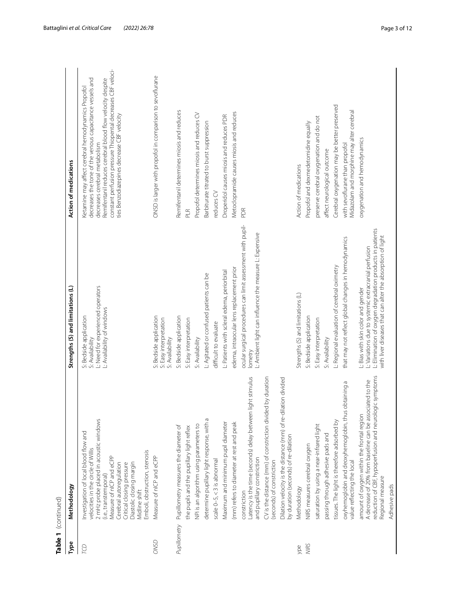| Table 1 (continued) |                                                                                                                                                                                                                                                                                                                  |                                                                                                                                                                                                                       |                                                                                                                                                                                                                                                                                                                            |
|---------------------|------------------------------------------------------------------------------------------------------------------------------------------------------------------------------------------------------------------------------------------------------------------------------------------------------------------|-----------------------------------------------------------------------------------------------------------------------------------------------------------------------------------------------------------------------|----------------------------------------------------------------------------------------------------------------------------------------------------------------------------------------------------------------------------------------------------------------------------------------------------------------------------|
| Type                | Methodology                                                                                                                                                                                                                                                                                                      | Strengths (S) and limitations (L)                                                                                                                                                                                     | Action of medications                                                                                                                                                                                                                                                                                                      |
| B                   | 2 mHz probe placed in acoustic windows<br>Investigation of local blood flow and<br>velocities in the circle of Willis<br>Emboli, obstruction, stenosis<br>Measure of nICP and eCPP<br>Cerebral autoregulation<br>Diastolic closing margin<br>Critical closing pressure<br>(i.e., transtemporal)<br>Midline shift | L: Need for experienced operators<br>L: Availability of windows<br>S: Bedside application<br>S: Availability                                                                                                          | constant perfusion pressure Thiopental decreases CBF veloci-<br>decreases the tone of the venous capacitance vessels and<br>Remifentanil reduces cerebral blood flow velocity despite<br>Ketamine may affect cerebral hemodynamics Propofol<br>ties Benzodiazepines decrease CBF velocity<br>decreases cerebral metabolism |
| <b>ONSD</b>         | Measure of nICP and eCPP                                                                                                                                                                                                                                                                                         | S: Bedside application<br>S: Easy interpretation<br>S: Availability                                                                                                                                                   | ONSD is larger with propofol in comparison to sevoflurane                                                                                                                                                                                                                                                                  |
| Pupillometry        | Pupillometry measures the diameter of<br>the pupils and the pupillary light reflex                                                                                                                                                                                                                               | S: Bedside application<br>S: Easy interpretation                                                                                                                                                                      | Remifentanil determines miosis and reduces<br>P IR                                                                                                                                                                                                                                                                         |
|                     | NPi is an algorithm using parameters to                                                                                                                                                                                                                                                                          | S: Availability                                                                                                                                                                                                       | Propofol determines miosis and reduces CV                                                                                                                                                                                                                                                                                  |
|                     | determine pupillary light response, with a                                                                                                                                                                                                                                                                       | L: Agitated or confused patients can be                                                                                                                                                                               | Barbiturate titrated to burst suppression                                                                                                                                                                                                                                                                                  |
|                     | scale $0-5, < 3$ is abnormal                                                                                                                                                                                                                                                                                     | difficult to evaluate                                                                                                                                                                                                 | reduces CV                                                                                                                                                                                                                                                                                                                 |
|                     | Maximum and minimum pupil diameter                                                                                                                                                                                                                                                                               | L: Patients with scleral edema, periorbital                                                                                                                                                                           | Droperidol causes miosis and reduces PDR                                                                                                                                                                                                                                                                                   |
|                     | (mm) refers to diameter at rest and peak                                                                                                                                                                                                                                                                         | edema, intraocular lens replacement prior                                                                                                                                                                             | Metoclopramide causes miosis and reduces                                                                                                                                                                                                                                                                                   |
|                     | light stimulus<br>Latency is the time (seconds) delay between<br>and pupillary constriction<br>constriction                                                                                                                                                                                                      | ocular surgical procedures can limit assessment with pupil-<br>L: Ambient light can influence the measure L: Expensive<br>lometry                                                                                     | PDR                                                                                                                                                                                                                                                                                                                        |
|                     | CV is the distance (mm) of constriction divided by duration<br>(seconds) of constriction                                                                                                                                                                                                                         |                                                                                                                                                                                                                       |                                                                                                                                                                                                                                                                                                                            |
|                     | ation divided<br>Dilation velocity is the distance (mm) of re-dil<br>by duration (seconds) of re-dilation                                                                                                                                                                                                        |                                                                                                                                                                                                                       |                                                                                                                                                                                                                                                                                                                            |
| ype                 | Methodology                                                                                                                                                                                                                                                                                                      | Strengths (S) and limitations (L)                                                                                                                                                                                     | Action of medications                                                                                                                                                                                                                                                                                                      |
| NIRS                | NIRS measures cerebral oxygen                                                                                                                                                                                                                                                                                    | S: Bedside application                                                                                                                                                                                                | Propofol and dexmedetomidine equally                                                                                                                                                                                                                                                                                       |
|                     | saturation by using a near-infrared light                                                                                                                                                                                                                                                                        | S: Easy interpretation                                                                                                                                                                                                | preserve cerebral oxygenation and do not                                                                                                                                                                                                                                                                                   |
|                     | passing through adhesive pads and                                                                                                                                                                                                                                                                                | S: Availability                                                                                                                                                                                                       | affect neurological outcome                                                                                                                                                                                                                                                                                                |
|                     | tissues. The light is therefore adsorbed by                                                                                                                                                                                                                                                                      | L: Regional evaluation of cerebral oximetry                                                                                                                                                                           | Cerebral oxygenation may be better preserved                                                                                                                                                                                                                                                                               |
|                     | obtaining a<br>oxyhemoglobin and deoxyhemoglobin, thus<br>value reflecting the local                                                                                                                                                                                                                             | that may not reflect global changes in hemodynamics                                                                                                                                                                   | Midazolam and morphine may alter cerebral<br>with sevoflurane than propofol                                                                                                                                                                                                                                                |
|                     | reduction of CBF, hypoperfusion and neurologic symptoms<br>A decrease of 20% from baseline can be associated to the<br>amount of oxygen within the frontal region<br>Regional measure                                                                                                                            | L: Elimination of oxygen degradation products in patients<br>with liver diseases that can alter the absorption of light<br>L: Variations due to systemic extracranial perfusion<br>L: Bias with skin color and gender | oxygenation and hemodynamics                                                                                                                                                                                                                                                                                               |
|                     | Adhesive pads                                                                                                                                                                                                                                                                                                    |                                                                                                                                                                                                                       |                                                                                                                                                                                                                                                                                                                            |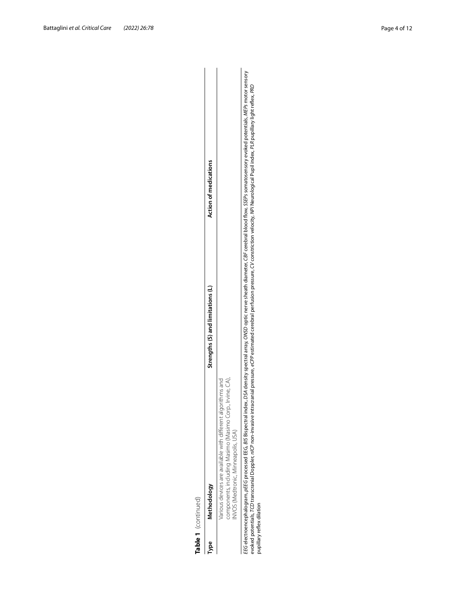|      | Table 1 (continued)                                                                                                                                                                                                                                   |                                   |                                                                                                                                                                                                                      |
|------|-------------------------------------------------------------------------------------------------------------------------------------------------------------------------------------------------------------------------------------------------------|-----------------------------------|----------------------------------------------------------------------------------------------------------------------------------------------------------------------------------------------------------------------|
| lype | Methodology                                                                                                                                                                                                                                           | Strengths (S) and limitations (L) | Action of medications                                                                                                                                                                                                |
|      | omponents, including Masimo (Masimo Corp., Irvine, CA),<br>/arious devices are available with different algorithms and<br>WOS (Medtronic, Minneapolis, USA)                                                                                           |                                   |                                                                                                                                                                                                                      |
|      | voked potentials, TCD transcranial Doppler, n/CP non-invasive intracranial pressure, eCPP estimated cerebral perfusion pressure, CV constriction velocity, NPi Neurological Pupil index, PLR pupillary light reflex, PRD<br>pupillary reflex dilation |                                   | EEG electroencephalogram, pEEG processed EEG, BIS Bispectral index, DSA density spectral array, ONSD optic nerve sheath diameter, CBF cerebral blood flow, SSEPs somatosensory evoked potentials, MEPs motor sensory |

EEG electroencephalogram, pEEG processed EEG, BIS Bispectral index, DSA density spectral array, ONSD optic nerve sheath diameter, CBF cerebral blood flow, SSEPs somatosensory evoked potentials, *MEPs* motor sensory<br>evoked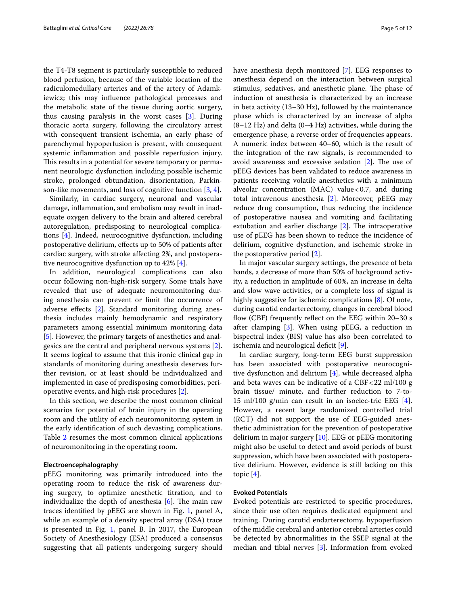the T4-T8 segment is particularly susceptible to reduced blood perfusion, because of the variable location of the radiculomedullary arteries and of the artery of Adamkiewicz; this may influence pathological processes and the metabolic state of the tissue during aortic surgery, thus causing paralysis in the worst cases [[3\]](#page-10-2). During thoracic aorta surgery, following the circulatory arrest with consequent transient ischemia, an early phase of parenchymal hypoperfusion is present, with consequent systemic inflammation and possible reperfusion injury. This results in a potential for severe temporary or permanent neurologic dysfunction including possible ischemic stroke, prolonged obtundation, disorientation, Parkinson-like movements, and loss of cognitive function [\[3](#page-10-2), [4\]](#page-10-3).

Similarly, in cardiac surgery, neuronal and vascular damage, inflammation, and embolism may result in inadequate oxygen delivery to the brain and altered cerebral autoregulation, predisposing to neurological complications [[4\]](#page-10-3). Indeed, neurocognitive dysfunction, including postoperative delirium, effects up to 50% of patients after cardiac surgery, with stroke affecting 2%, and postoperative neurocognitive dysfunction up to 42% [\[4](#page-10-3)].

In addition, neurological complications can also occur following non-high-risk surgery. Some trials have revealed that use of adequate neuromonitoring during anesthesia can prevent or limit the occurrence of adverse effects [\[2](#page-10-1)]. Standard monitoring during anesthesia includes mainly hemodynamic and respiratory parameters among essential minimum monitoring data [[5\]](#page-10-4). However, the primary targets of anesthetics and analgesics are the central and peripheral nervous systems [\[2](#page-10-1)]. It seems logical to assume that this ironic clinical gap in standards of monitoring during anesthesia deserves further revision, or at least should be individualized and implemented in case of predisposing comorbidities, perioperative events, and high-risk procedures [\[2\]](#page-10-1).

In this section, we describe the most common clinical scenarios for potential of brain injury in the operating room and the utility of each neuromonitoring system in the early identification of such devasting complications. Table [2](#page-5-0) resumes the most common clinical applications of neuromonitoring in the operating room.

#### **Electroencephalography**

pEEG monitoring was primarily introduced into the operating room to reduce the risk of awareness during surgery, to optimize anesthetic titration, and to individualize the depth of anesthesia  $[6]$  $[6]$ . The main raw traces identified by pEEG are shown in Fig. [1](#page-5-1), panel A, while an example of a density spectral array (DSA) trace is presented in Fig. [1,](#page-5-1) panel B. In 2017, the European Society of Anesthesiology (ESA) produced a consensus suggesting that all patients undergoing surgery should have anesthesia depth monitored [\[7](#page-10-6)]. EEG responses to anesthesia depend on the interaction between surgical stimulus, sedatives, and anesthetic plane. The phase of induction of anesthesia is characterized by an increase in beta activity (13–30 Hz), followed by the maintenance phase which is characterized by an increase of alpha  $(8-12 \text{ Hz})$  and delta  $(0-4 \text{ Hz})$  activities, while during the emergence phase, a reverse order of frequencies appears. A numeric index between 40–60, which is the result of the integration of the raw signals, is recommended to avoid awareness and excessive sedation [[2\]](#page-10-1). The use of pEEG devices has been validated to reduce awareness in patients receiving volatile anesthetics with a minimum alveolar concentration (MAC) value <  $0.7$ , and during total intravenous anesthesia [\[2](#page-10-1)]. Moreover, pEEG may reduce drug consumption, thus reducing the incidence of postoperative nausea and vomiting and facilitating extubation and earlier discharge [\[2](#page-10-1)]. The intraoperative use of pEEG has been shown to reduce the incidence of delirium, cognitive dysfunction, and ischemic stroke in the postoperative period [\[2](#page-10-1)].

In major vascular surgery settings, the presence of beta bands, a decrease of more than 50% of background activity, a reduction in amplitude of 60%, an increase in delta and slow wave activities, or a complete loss of signal is highly suggestive for ischemic complications [\[8](#page-10-7)]. Of note, during carotid endarterectomy, changes in cerebral blood flow (CBF) frequently reflect on the EEG within 20–30 s after clamping [\[3\]](#page-10-2). When using pEEG, a reduction in bispectral index (BIS) value has also been correlated to ischemia and neurological deficit [[9\]](#page-10-8).

In cardiac surgery, long-term EEG burst suppression has been associated with postoperative neurocognitive dysfunction and delirium [[4\]](#page-10-3), while decreased alpha and beta waves can be indicative of a  $CBF < 22$  ml/100 g brain tissue/ minute, and further reduction to 7-to-15 ml/100 g/min can result in an isoelec-tric EEG [\[4](#page-10-3)]. However, a recent large randomized controlled trial (RCT) did not support the use of EEG-guided anesthetic administration for the prevention of postoperative delirium in major surgery [[10](#page-10-9)]. EEG or pEEG monitoring might also be useful to detect and avoid periods of burst suppression, which have been associated with postoperative delirium. However, evidence is still lacking on this topic [[4\]](#page-10-3).

## **Evoked Potentials**

Evoked potentials are restricted to specific procedures, since their use often requires dedicated equipment and training. During carotid endarterectomy, hypoperfusion of the middle cerebral and anterior cerebral arteries could be detected by abnormalities in the SSEP signal at the median and tibial nerves [\[3](#page-10-2)]. Information from evoked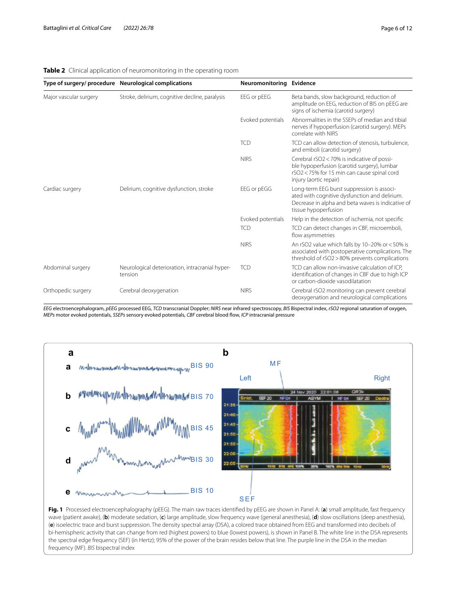|                        | Type of surgery/ procedure Neurological complications      | Neuromonitoring Evidence |                                                                                                                                                                          |
|------------------------|------------------------------------------------------------|--------------------------|--------------------------------------------------------------------------------------------------------------------------------------------------------------------------|
| Major vascular surgery | Stroke, delirium, cognitive decline, paralysis             | EEG or pEEG              | Beta bands, slow background, reduction of<br>amplitude on EEG, reduction of BIS on pEEG are<br>signs of ischemia (carotid surgery)                                       |
|                        |                                                            | Evoked potentials        | Abnormalities in the SSEPs of median and tibial<br>nerves if hypoperfusion (carotid surgery). MEPs<br>correlate with NIRS                                                |
|                        |                                                            | <b>TCD</b>               | TCD can allow detection of stenosis, turbulence,<br>and emboli (carotid surgery)                                                                                         |
|                        |                                                            | <b>NIRS</b>              | Cerebral rSO2 < 70% is indicative of possi-<br>ble hypoperfusion (carotid surgery), lumbar<br>rSO2<75% for 15 min can cause spinal cord<br>injury (aortic repair)        |
| Cardiac surgery        | Delirium, cognitive dysfunction, stroke                    | EEG or pEGG              | Long-term EEG burst suppression is associ-<br>ated with cognitive dysfunction and delirium.<br>Decrease in alpha and beta waves is indicative of<br>tissue hypoperfusion |
|                        |                                                            | Evoked potentials        | Help in the detection of ischemia, not specific                                                                                                                          |
|                        |                                                            | <b>TCD</b>               | TCD can detect changes in CBF, microemboli,<br>flow asymmetries                                                                                                          |
|                        |                                                            | <b>NIRS</b>              | An rSO2 value which falls by 10-20% or <50% is<br>associated with postoperative complications. The<br>threshold of rSO2 > 80% prevents complications                     |
| Abdominal surgery      | Neurological deterioration, intracranial hyper-<br>tension | <b>TCD</b>               | TCD can allow non-invasive calculation of ICP,<br>identification of changes in CBF due to high ICP<br>or carbon-dioxide vasodilatation                                   |
| Orthopedic surgery     | Cerebral deoxygenation                                     | <b>NIRS</b>              | Cerebral rSO2 monitoring can prevent cerebral<br>deoxygenation and neurological complications                                                                            |

## <span id="page-5-0"></span>**Table 2** Clinical application of neuromonitoring in the operating room

*EEG* electroencephalogram, *pEEG* processed EEG, *TCD* transcranial Doppler; *NIRS* near infrared spectroscopy, *BIS* Bispectral index, *rSO2* regional saturation of oxygen, *MEPs* motor evoked potentials, *SSEPs* sensory evoked potentials, *CBF* cerebral blood flow, *ICP* intracranial pressure



<span id="page-5-1"></span>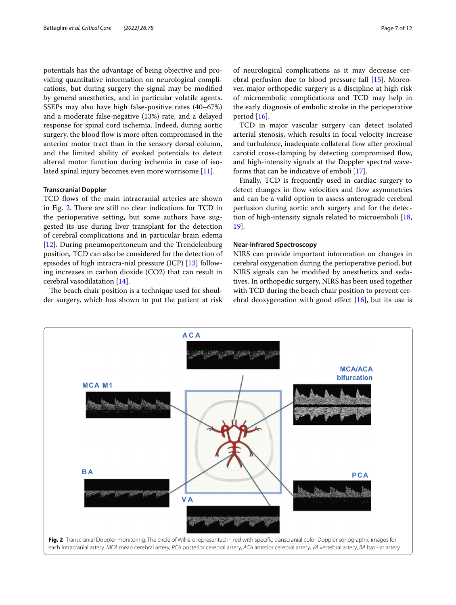potentials has the advantage of being objective and providing quantitative information on neurological complications, but during surgery the signal may be modified by general anesthetics, and in particular volatile agents. SSEPs may also have high false-positive rates (40–67%) and a moderate false-negative (13%) rate, and a delayed response for spinal cord ischemia. Indeed, during aortic surgery, the blood flow is more often compromised in the anterior motor tract than in the sensory dorsal column, and the limited ability of evoked potentials to detect altered motor function during ischemia in case of isolated spinal injury becomes even more worrisome [\[11](#page-10-10)].

#### **Transcranial Doppler**

TCD flows of the main intracranial arteries are shown in Fig. [2](#page-6-0). There are still no clear indications for TCD in the perioperative setting, but some authors have suggested its use during liver transplant for the detection of cerebral complications and in particular brain edema [[12\]](#page-10-11). During pneumoperitoneum and the Trendelenburg position, TCD can also be considered for the detection of episodes of high intracra-nial pressure (ICP) [[13\]](#page-10-12) following increases in carbon dioxide (CO2) that can result in cerebral vasodilatation [[14\]](#page-10-13).

The beach chair position is a technique used for shoulder surgery, which has shown to put the patient at risk of neurological complications as it may decrease cerebral perfusion due to blood pressure fall [\[15](#page-10-14)]. Moreover, major orthopedic surgery is a discipline at high risk of microembolic complications and TCD may help in the early diagnosis of embolic stroke in the perioperative period [\[16\]](#page-10-15).

TCD in major vascular surgery can detect isolated arterial stenosis, which results in focal velocity increase and turbulence, inadequate collateral flow after proximal carotid cross-clamping by detecting compromised flow, and high-intensity signals at the Doppler spectral waveforms that can be indicative of emboli [\[17](#page-10-16)].

Finally, TCD is frequently used in cardiac surgery to detect changes in flow velocities and flow asymmetries and can be a valid option to assess anterograde cerebral perfusion during aortic arch surgery and for the detection of high-intensity signals related to microemboli [[18](#page-11-0), [19\]](#page-11-1).

#### **Near‑Infrared Spectroscopy**

NIRS can provide important information on changes in cerebral oxygenation during the perioperative period, but NIRS signals can be modified by anesthetics and sedatives. In orthopedic surgery, NIRS has been used together with TCD during the beach chair position to prevent cerebral deoxygenation with good effect  $[16]$  $[16]$ , but its use is

<span id="page-6-0"></span>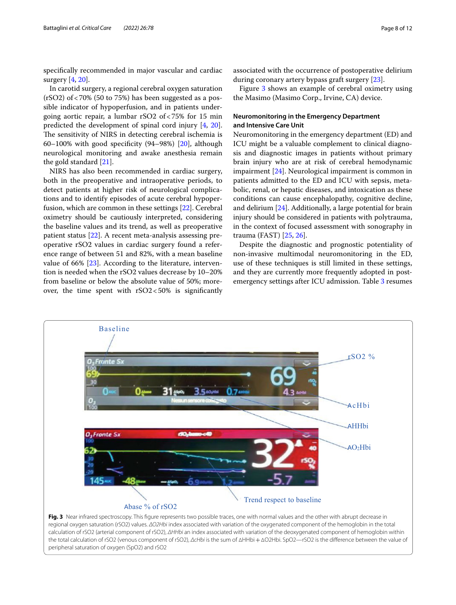specifically recommended in major vascular and cardiac surgery [[4,](#page-10-3) [20\]](#page-11-2).

In carotid surgery, a regional cerebral oxygen saturation  $(rSO2)$  of <70% (50 to 75%) has been suggested as a possible indicator of hypoperfusion, and in patients undergoing aortic repair, a lumbar rSO2 of<75% for 15 min predicted the development of spinal cord injury [[4,](#page-10-3) [20](#page-11-2)]. The sensitivity of NIRS in detecting cerebral ischemia is 60–100% with good specificity  $(94–98%)$  [\[20](#page-11-2)], although neurological monitoring and awake anesthesia remain the gold standard [\[21](#page-11-3)].

NIRS has also been recommended in cardiac surgery, both in the preoperative and intraoperative periods, to detect patients at higher risk of neurological complications and to identify episodes of acute cerebral hypoperfusion, which are common in these settings [[22\]](#page-11-4). Cerebral oximetry should be cautiously interpreted, considering the baseline values and its trend, as well as preoperative patient status [\[22\]](#page-11-4). A recent meta-analysis assessing preoperative rSO2 values in cardiac surgery found a reference range of between 51 and 82%, with a mean baseline value of 66% [\[23](#page-11-5)]. According to the literature, intervention is needed when the rSO2 values decrease by 10–20% from baseline or below the absolute value of 50%; moreover, the time spent with  $rSO2<50\%$  is significantly

associated with the occurrence of postoperative delirium during coronary artery bypass graft surgery [\[23](#page-11-5)].

Figure [3](#page-7-0) shows an example of cerebral oximetry using the Masimo (Masimo Corp., Irvine, CA) device.

## **Neuromonitoring in the Emergency Department and Intensive Care Unit**

Neuromonitoring in the emergency department (ED) and ICU might be a valuable complement to clinical diagnosis and diagnostic images in patients without primary brain injury who are at risk of cerebral hemodynamic impairment [[24\]](#page-11-6). Neurological impairment is common in patients admitted to the ED and ICU with sepsis, metabolic, renal, or hepatic diseases, and intoxication as these conditions can cause encephalopathy, cognitive decline, and delirium [[24\]](#page-11-6). Additionally, a large potential for brain injury should be considered in patients with polytrauma, in the context of focused assessment with sonography in trauma (FAST) [[25,](#page-11-7) [26](#page-11-8)].

Despite the diagnostic and prognostic potentiality of non-invasive multimodal neuromonitoring in the ED, use of these techniques is still limited in these settings, and they are currently more frequently adopted in postemergency settings after ICU admission. Table [3](#page-8-0) resumes

<span id="page-7-0"></span>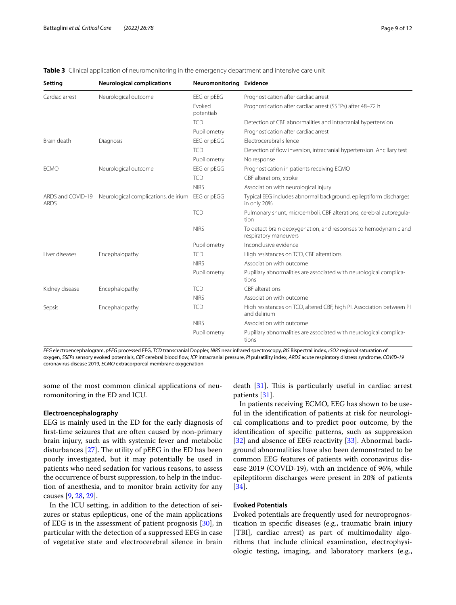| Setting                          | <b>Neurological complications</b>    | Neuromonitoring Evidence |                                                                                          |
|----------------------------------|--------------------------------------|--------------------------|------------------------------------------------------------------------------------------|
| Cardiac arrest                   | Neurological outcome                 | EEG or pEEG              | Prognostication after cardiac arrest                                                     |
|                                  |                                      | Fvoked<br>potentials     | Prognostication after cardiac arrest (SSEPs) after 48-72 h                               |
|                                  |                                      | <b>TCD</b>               | Detection of CBF abnormalities and intracranial hypertension                             |
|                                  |                                      | Pupillometry             | Prognostication after cardiac arrest                                                     |
| Brain death                      | Diagnosis                            | EEG or pEGG              | Electrocerebral silence                                                                  |
|                                  |                                      | <b>TCD</b>               | Detection of flow inversion, intracranial hypertension. Ancillary test                   |
|                                  |                                      | Pupillometry             | No response                                                                              |
| <b>ECMO</b>                      | Neurological outcome                 | EEG or pEGG              | Prognostication in patients receiving ECMO                                               |
|                                  |                                      | <b>TCD</b>               | CBF alterations, stroke                                                                  |
|                                  |                                      | <b>NIRS</b>              | Association with neurological injury                                                     |
| ARDS and COVID-19<br><b>ARDS</b> | Neurological complications, delirium | EEG or pEGG              | Typical EEG includes abnormal background, epileptiform discharges<br>in only 20%         |
|                                  |                                      | <b>TCD</b>               | Pulmonary shunt, microemboli, CBF alterations, cerebral autoregula-<br>tion              |
|                                  |                                      | <b>NIRS</b>              | To detect brain deoxygenation, and responses to hemodynamic and<br>respiratory maneuvers |
|                                  |                                      | Pupillometry             | Inconclusive evidence                                                                    |
| Liver diseases                   | Encephalopathy                       | <b>TCD</b>               | High resistances on TCD, CBF alterations                                                 |
|                                  |                                      | <b>NIRS</b>              | Association with outcome                                                                 |
|                                  |                                      | Pupillometry             | Pupillary abnormalities are associated with neurological complica-<br>tions              |
| Kidney disease                   | Encephalopathy                       | <b>TCD</b>               | CBF alterations                                                                          |
|                                  |                                      | <b>NIRS</b>              | Association with outcome                                                                 |
| Sepsis                           | Encephalopathy                       | <b>TCD</b>               | High resistances on TCD, altered CBF, high PI. Association between PI<br>and delirium    |
|                                  |                                      | <b>NIRS</b>              | Association with outcome                                                                 |
|                                  |                                      | Pupillometry             | Pupillary abnormalities are associated with neurological complica-<br>tions              |

#### <span id="page-8-0"></span>**Table 3** Clinical application of neuromonitoring in the emergency department and intensive care unit

*EEG* electroencephalogram, *pEEG* processed EEG, *TCD* transcranial Doppler, *NIRS* near infrared spectroscopy, *BIS* Bispectral index, *rSO2* regional saturation of oxygen, *SSEPs* sensory evoked potentials, *CBF* cerebral blood flow, *ICP* intracranial pressure, *PI* pulsatility index, *ARDS* acute respiratory distress syndrome, *COVID-19* coronavirus disease 2019, *ECMO* extracorporeal membrane oxygenation

some of the most common clinical applications of neuromonitoring in the ED and ICU.

#### **Electroencephalography**

EEG is mainly used in the ED for the early diagnosis of first-time seizures that are often caused by non-primary brain injury, such as with systemic fever and metabolic disturbances [\[27](#page-11-9)]. The utility of pEEG in the ED has been poorly investigated, but it may potentially be used in patients who need sedation for various reasons, to assess the occurrence of burst suppression, to help in the induction of anesthesia, and to monitor brain activity for any causes [[9,](#page-10-8) [28,](#page-11-10) [29](#page-11-11)].

In the ICU setting, in addition to the detection of seizures or status epilepticus, one of the main applications of EEG is in the assessment of patient prognosis [\[30\]](#page-11-12), in particular with the detection of a suppressed EEG in case of vegetative state and electrocerebral silence in brain death [\[31](#page-11-13)]. This is particularly useful in cardiac arrest patients [[31\]](#page-11-13).

In patients receiving ECMO, EEG has shown to be useful in the identification of patients at risk for neurological complications and to predict poor outcome, by the identification of specific patterns, such as suppression [[32\]](#page-11-14) and absence of EEG reactivity [[33](#page-11-15)]. Abnormal background abnormalities have also been demonstrated to be common EEG features of patients with coronavirus disease 2019 (COVID-19), with an incidence of 96%, while epileptiform discharges were present in 20% of patients [[34\]](#page-11-16).

## **Evoked Potentials**

Evoked potentials are frequently used for neuroprognostication in specific diseases (e.g., traumatic brain injury [TBI], cardiac arrest) as part of multimodality algorithms that include clinical examination, electrophysiologic testing, imaging, and laboratory markers (e.g.,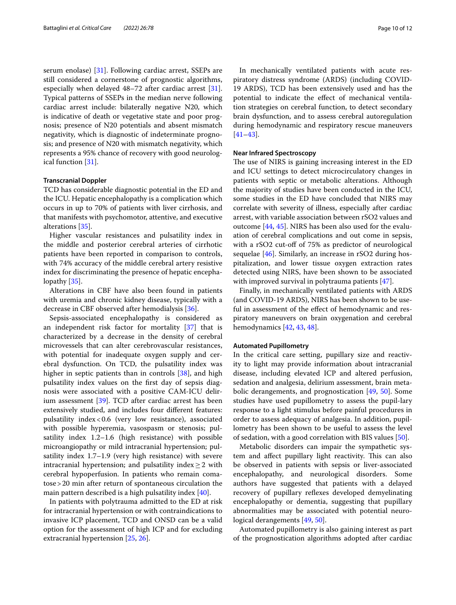serum enolase) [[31\]](#page-11-13). Following cardiac arrest, SSEPs are still considered a cornerstone of prognostic algorithms, especially when delayed 48–72 after cardiac arrest [\[31](#page-11-13)]. Typical patterns of SSEPs in the median nerve following cardiac arrest include: bilaterally negative N20, which is indicative of death or vegetative state and poor prognosis; presence of N20 potentials and absent mismatch negativity, which is diagnostic of indeterminate prognosis; and presence of N20 with mismatch negativity, which represents a 95% chance of recovery with good neurological function [\[31](#page-11-13)].

#### **Transcranial Doppler**

TCD has considerable diagnostic potential in the ED and the ICU. Hepatic encephalopathy is a complication which occurs in up to 70% of patients with liver cirrhosis, and that manifests with psychomotor, attentive, and executive alterations [\[35](#page-11-17)].

Higher vascular resistances and pulsatility index in the middle and posterior cerebral arteries of cirrhotic patients have been reported in comparison to controls, with 74% accuracy of the middle cerebral artery resistive index for discriminating the presence of hepatic encephalopathy [[35](#page-11-17)].

Alterations in CBF have also been found in patients with uremia and chronic kidney disease, typically with a decrease in CBF observed after hemodialysis [[36](#page-11-18)].

Sepsis-associated encephalopathy is considered as an independent risk factor for mortality [[37\]](#page-11-19) that is characterized by a decrease in the density of cerebral microvessels that can alter cerebrovascular resistances, with potential for inadequate oxygen supply and cerebral dysfunction. On TCD, the pulsatility index was higher in septic patients than in controls [\[38\]](#page-11-20), and high pulsatility index values on the first day of sepsis diagnosis were associated with a positive CAM-ICU delirium assessment [[39](#page-11-21)]. TCD after cardiac arrest has been extensively studied, and includes four different features: pulsatility index<0.6 (very low resistance), associated with possible hyperemia, vasospasm or stenosis; pulsatility index 1.2–1.6 (high resistance) with possible microangiopathy or mild intracranial hypertension; pulsatility index 1.7–1.9 (very high resistance) with severe intracranial hypertension; and pulsatility index $\geq 2$  with cerebral hypoperfusion. In patients who remain comatose>20 min after return of spontaneous circulation the main pattern described is a high pulsatility index [\[40](#page-11-22)].

In patients with polytrauma admitted to the ED at risk for intracranial hypertension or with contraindications to invasive ICP placement, TCD and ONSD can be a valid option for the assessment of high ICP and for excluding extracranial hypertension [[25,](#page-11-7) [26\]](#page-11-8).

In mechanically ventilated patients with acute respiratory distress syndrome (ARDS) (including COVID-19 ARDS), TCD has been extensively used and has the potential to indicate the effect of mechanical ventilation strategies on cerebral function, to detect secondary brain dysfunction, and to assess cerebral autoregulation during hemodynamic and respiratory rescue maneuvers [[41–](#page-11-23)[43\]](#page-11-24).

## **Near Infrared Spectroscopy**

The use of NIRS is gaining increasing interest in the ED and ICU settings to detect microcirculatory changes in patients with septic or metabolic alterations. Although the majority of studies have been conducted in the ICU, some studies in the ED have concluded that NIRS may correlate with severity of illness, especially after cardiac arrest, with variable association between rSO2 values and outcome [\[44](#page-11-25), [45\]](#page-11-26). NIRS has been also used for the evaluation of cerebral complications and out come in sepsis, with a rSO2 cut-off of 75% as predictor of neurological sequelae [[46\]](#page-11-27). Similarly, an increase in rSO2 during hospitalization, and lower tissue oxygen extraction rates detected using NIRS, have been shown to be associated with improved survival in polytrauma patients [\[47](#page-11-28)].

Finally, in mechanically ventilated patients with ARDS (and COVID-19 ARDS), NIRS has been shown to be useful in assessment of the effect of hemodynamic and respiratory maneuvers on brain oxygenation and cerebral hemodynamics [[42](#page-11-29), [43,](#page-11-24) [48](#page-11-30)].

#### **Automated Pupillometry**

In the critical care setting, pupillary size and reactivity to light may provide information about intracranial disease, including elevated ICP and altered perfusion, sedation and analgesia, delirium assessment, brain metabolic derangements, and prognostication [[49](#page-11-31), [50\]](#page-11-32). Some studies have used pupillometry to assess the pupil-lary response to a light stimulus before painful procedures in order to assess adequacy of analgesia. In addition, pupillometry has been shown to be useful to assess the level of sedation, with a good correlation with BIS values [[50](#page-11-32)].

Metabolic disorders can impair the sympathetic system and affect pupillary light reactivity. This can also be observed in patients with sepsis or liver-associated encephalopathy, and neurological disorders. Some authors have suggested that patients with a delayed recovery of pupillary reflexes developed demyelinating encephalopathy or dementia, suggesting that pupillary abnormalities may be associated with potential neurological derangements [\[49,](#page-11-31) [50](#page-11-32)].

Automated pupillometry is also gaining interest as part of the prognostication algorithms adopted after cardiac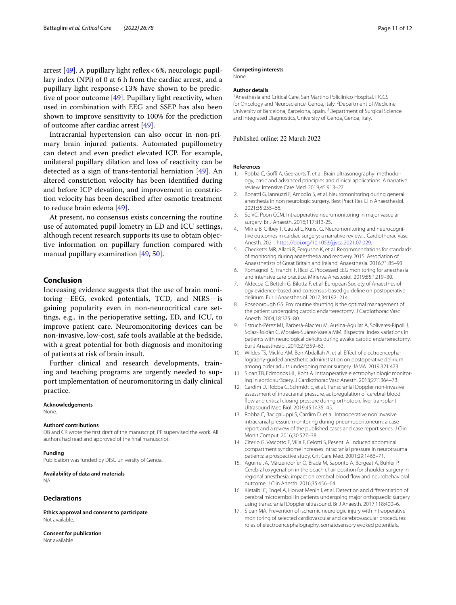arrest [[49\]](#page-11-31). A pupillary light reflex<6%, neurologic pupillary index (NPi) of 0 at 6 h from the cardiac arrest, and a pupillary light response<13% have shown to be predictive of poor outcome [[49\]](#page-11-31). Pupillary light reactivity, when used in combination with EEG and SSEP has also been shown to improve sensitivity to 100% for the prediction of outcome after cardiac arrest [\[49](#page-11-31)].

Intracranial hypertension can also occur in non-primary brain injured patients. Automated pupillometry can detect and even predict elevated ICP. For example, unilateral pupillary dilation and loss of reactivity can be detected as a sign of trans-tentorial herniation [\[49](#page-11-31)]. An altered constriction velocity has been identified during and before ICP elevation, and improvement in constriction velocity has been described after osmotic treatment to reduce brain edema [[49](#page-11-31)].

At present, no consensus exists concerning the routine use of automated pupil-lometry in ED and ICU settings, although recent research supports its use to obtain objective information on pupillary function compared with manual pupillary examination [[49,](#page-11-31) [50\]](#page-11-32).

## **Conclusion**

Increasing evidence suggests that the use of brain monitoring−EEG, evoked potentials, TCD, and NIRS−is gaining popularity even in non-neurocritical care settings, e.g., in the perioperative setting, ED, and ICU, to improve patient care. Neuromonitoring devices can be non-invasive, low-cost, safe tools available at the bedside, with a great potential for both diagnosis and monitoring of patients at risk of brain insult.

Further clinical and research developments, training and teaching programs are urgently needed to support implementation of neuromonitoring in daily clinical practice.

#### **Acknowledgements**

None.

#### **Authors' contributions**

DB and CR wrote the first draft of the manuscript, PP supervised the work. All authors had read and approved of the final manuscript.

#### **Funding**

Publication was funded by DISC university of Genoa.

# **Availability of data and materials**

NA.

## **Declarations**

**Ethics approval and consent to participate** Not available.

**Consent for publication** Not available.

#### **Competing interests**

None.

#### **Author details**

<sup>1</sup> Anesthesia and Critical Care, San Martino Policlinico Hospital, IRCCS for Oncology and Neuroscience, Genoa, Italy. <sup>2</sup> Department of Medicine, University of Barcelona, Barcelona, Spain.<sup>3</sup> Department of Surgical Science and Integrated Diagnostics, University of Genoa, Genoa, Italy.

#### Published online: 22 March 2022

#### **References**

- <span id="page-10-0"></span>1. Robba C, Goffi A, Geeraerts T, et al. Brain ultrasonography: methodology, basic and advanced principles and clinical applications. A narrative review. Intensive Care Med. 2019;45:913–27.
- <span id="page-10-1"></span>2. Bonatti G, Iannuzzi F, Amodio S, et al. Neuromonitoring during general anesthesia in non neurologic surgery. Best Pract Res Clin Anaesthesiol. 2021;35:255–66.
- <span id="page-10-2"></span>3. So VC, Poon CCM. Intraoperative neuromonitoring in major vascular surgery. Br J Anaesth. 2016;117:ii13-25.
- <span id="page-10-3"></span>4. Milne B, Gilbey T, Gautel L, Kunst G. Neuromonitoring and neurocognitive outcomes in cardiac surgery: a narrative review. J Cardiothorac Vasc Anesth. 2021. [https://doi.org/10.1053/j.jvca.2021.07.029.](https://doi.org/10.1053/j.jvca.2021.07.029)
- <span id="page-10-4"></span>5. Checketts MR, Alladi R, Ferguson K, et al. Recommendations for standards of monitoring during anaesthesia and recovery 2015: Association of Anaesthetists of Great Britain and Ireland. Anaesthesia. 2016;71:85–93.
- <span id="page-10-5"></span>6. Romagnoli S, Franchi F, Ricci Z. Processed EEG monitoring for anesthesia and intensive care practice. Minerva Anestesiol. 2019;85:1219–30.
- <span id="page-10-6"></span>7. Aldecoa C, Bettelli G, Bilotta F, et al. European Society of Anaesthesiology evidence-based and consensus-based guideline on postoperative delirium. Eur J Anaesthesiol. 2017;34:192–214.
- <span id="page-10-7"></span>Roseborough GS. Pro: routine shunting is the optimal management of the patient undergoing carotid endarterectomy. J Cardiothorac Vasc Anesth. 2004;18:375–80.
- <span id="page-10-8"></span>9. Estruch-Pérez MJ, Barberá-Alacreu M, Ausina-Aguilar A, Soliveres-Ripoll J, Solaz-Roldán C, Morales-Suárez-Varela MM. Bispectral index variations in patients with neurological deficits during awake carotid endarterectomy. Eur J Anaesthesiol. 2010;27:359–63.
- <span id="page-10-9"></span>10. Wildes TS, Mickle AM, Ben Abdallah A, et al. Effect of electroencephalography-guided anesthetic administration on postoperative delirium among older adults undergoing major surgery. JAMA. 2019;321:473.
- <span id="page-10-10"></span>11. Sloan TB, Edmonds HL, Koht A. Intraoperative electrophysiologic monitoring in aortic sur3gery. J Cardiothorac Vasc Anesth. 2013;27:1364–73.
- <span id="page-10-11"></span>12. Cardim D, Robba C, Schmidt E, et al. Transcranial Doppler non-invasive assessment of intracranial pressure, autoregulation of cerebral blood flow and critical closing pressure during orthotopic liver transplant. Ultrasound Med Biol. 2019;45:1435–45.
- <span id="page-10-12"></span>13. Robba C, Bacigaluppi S, Cardim D, et al. Intraoperative non invasive intracranial pressure monitoring during pneumoperitoneum: a case report and a review of the published cases and case report series. J Clin Monit Comput. 2016;30:527–38.
- <span id="page-10-13"></span>14. Citerio G, Vascotto E, Villa F, Celotti S, Pesenti A. Induced abdominal compartment syndrome increases intracranial pressure in neurotrauma patients: a prospective study. Crit Care Med. 2001;29:1466–71.
- <span id="page-10-14"></span>15. Aguirre JA, Märzendorfer O, Brada M, Saporito A, Borgeat A, Bühler P. Cerebral oxygenation in the beach chair position for shoulder surgery in regional anesthesia: impact on cerebral blood flow and neurobehavioral outcome. J Clin Anesth. 2016;35:456–64.
- <span id="page-10-15"></span>16. Kietaibl C, Engel A, Horvat Menih I, et al. Detection and differentiation of cerebral microemboli in patients undergoing major orthopaedic surgery using transcranial Doppler ultrasound. Br J Anaesth. 2017;118:400–6.
- <span id="page-10-16"></span>17. Sloan MA. Prevention of ischemic neurologic injury with intraoperative monitoring of selected cardiovascular and cerebrovascular procedures: roles of electroencephalography, somatosensory evoked potentials,